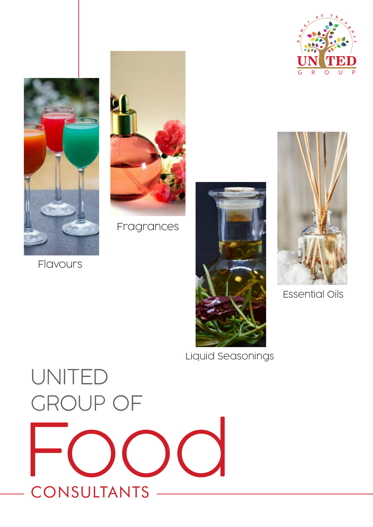### CONSULTANTS UNITED GROUP OF FOOO  $\blacksquare$ Email Id:- contactus@urjaaromatics.com +91 11 42420492/93  $W_{\text{max}}$

Liquid Seasonings





Fragrances





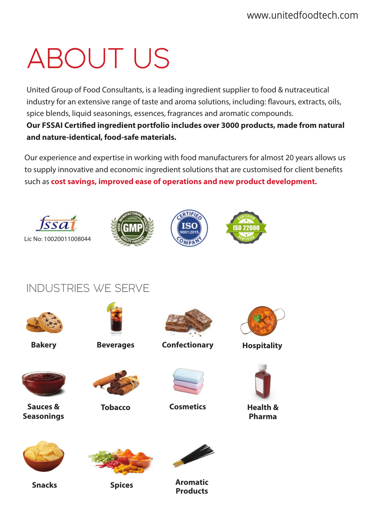# ABOUT US

United Group of Food Consultants, is a leading ingredient supplier to food & nutraceutical industry for an extensive range of taste and aroma solutions, including: flavours, extracts, oils, spice blends, liquid seasonings, essences, fragrances and aromatic compounds. **Our FSSAI Certied ingredient portfolio includes over 3000 products, made from natural and nature-identical, food-safe materials.**

Our experience and expertise in working with food manufacturers for almost 20 years allows us to supply innovative and economic ingredient solutions that are customised for client benefits such as **cost savings, improved ease of operations and new product development.**



INDUSTRIES WE SERVE Address:- B-143, 2nd Floor, Okhla Industrial Area Phase 1, Delhi - 110020 ( INDIA)





**Bakery Beverages**



 $E_{\rm eff} = 2.0$  , contactus  $\sim 91$  11  $\mu$  42420492/9330492/9330492/9330492/9330492/9330492/9330492/9330492/9330492/9330492/9330492/9330492/9330492/9330492/9330492/9330492/9330492/9330492/9330492/9330492/9330492/9330492/93



**Confectionary** 



**Cosmetics Health &** 



**Hospitality**



**Pharma**



**Sauces & Seasonings**

Address:- B-143, 2nd Floor, Okhla Industrial Area Phase 1, Delhi - 110020 ( INDIA)

Examples of the contactus of the surface of the 11 11 11 11 42420492.<br>Contactus of the contactus of the surface of the 11 4242049 11 4242049 11 4242049 11 4242049 11 11 42420 11 42

**Snacks**



**Tobacco** 



**Aromatic Products**<br>**Products**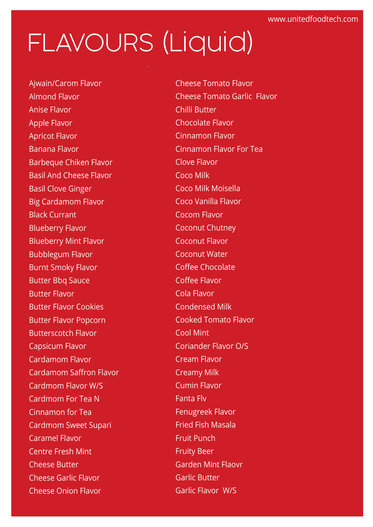# FLAVOURS (Liquid)

Ajwain/Carom Flavor Almond Flavor Anise Flavor Apple Flavor Apricot Flavor Banana Flavor Barbeque Chiken Flavor Basil And Cheese Flavor Basil Clove Ginger Big Cardamom Flavor Black Currant Blueberry Flavor Blueberry Mint Flavor Bubblegum Flavor Burnt Smoky Flavor Butter Bbq Sauce Butter Flavor Butter Flavor Cookies Butter Flavor Popcorn Butterscotch Flavor Capsicum Flavor Cardamom Flavor Cardamom Saffron Flavor Cardmom Flavor W/S Cardmom For Tea N Cinnamon for Tea Cardmom Sweet Supari Caramel Flavor Centre Fresh Mint Cheese Butter Cheese Garlic Flavor Cheese Onion Flavor

Cheese Tomato Flavor Cheese Tomato Garlic Flavor Chilli Butter Chocolate Flavor Cinnamon Flavor Cinnamon Flavor For Tea Clove Flavor Coco Milk Coco Milk Moisella Coco Vanilla Flavor Cocom Flavor Coconut Chutney Coconut Flavor Coconut Water Coffee Chocolate Coffee Flavor Cola Flavor Condensed Milk Cooked Tomato Flavor Cool Mint Coriander Flavor O/S Cream Flavor Creamy Milk Cumin Flavor Fanta Flv Fenugreek Flavor Fried Fish Masala Fruit Punch Fruity Beer Garden Mint Flaovr Garlic Butter Garlic Flavor W/S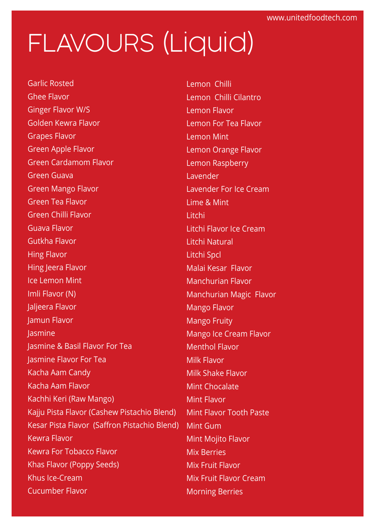## FLAVOURS (Liquid)

Garlic Rosted Ghee Flavor Ginger Flavor W/S Golden Kewra Flavor Grapes Flavor Green Apple Flavor Green Cardamom Flavor Green Guava Green Mango Flavor Green Tea Flavor Green Chilli Flavor Guava Flavor Gutkha Flavor Hing Flavor Hing Jeera Flavor Ice Lemon Mint Imli Flavor (N) Jaljeera Flavor Jamun Flavor **Jasmine** Jasmine & Basil Flavor For Tea Jasmine Flavor For Tea Kacha Aam Candy Kacha Aam Flavor Kachhi Keri (Raw Mango) Kajju Pista Flavor (Cashew Pistachio Blend) Kesar Pista Flavor (Saffron Pistachio Blend) Kewra Flavor Kewra For Tobacco Flavor Khas Flavor (Poppy Seeds) Khus Ice-Cream Cucumber Flavor

Lemon Chilli Lemon Chilli Cilantro Lemon Flavor Lemon For Tea Flavor Lemon Mint Lemon Orange Flavor Lemon Raspberry Lavender Lavender For Ice Cream Lime & Mint Litchi Litchi Flavor Ice Cream Litchi Natural Litchi Spcl Malai Kesar Flavor Manchurian Flavor Manchurian Magic Flavor Mango Flavor Mango Fruity Mango Ice Cream Flavor Menthol Flavor Milk Flavor Milk Shake Flavor Mint Chocalate Mint Flavor Mint Flavor Tooth Paste Mint Gum Mint Mojito Flavor Mix Berries Mix Fruit Flavor Mix Fruit Flavor Cream Morning Berries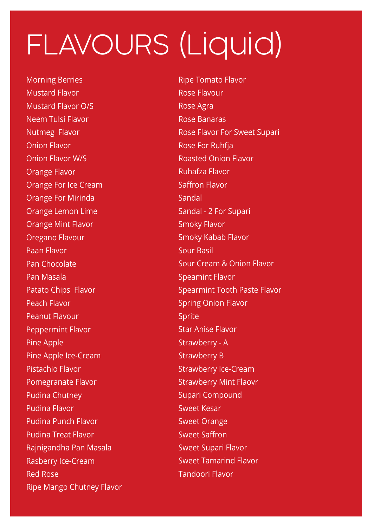# FLAVOURS (Liquid)

Morning Berries Mustard Flavor Mustard Flavor O/S Neem Tulsi Flavor Nutmeg Flavor Onion Flavor Onion Flavor W/S Orange Flavor Orange For Ice Cream Orange For Mirinda Orange Lemon Lime Orange Mint Flavor Oregano Flavour Paan Flavor Pan Chocolate Pan Masala Patato Chips Flavor Peach Flavor Peanut Flavour Peppermint Flavor Pine Apple Pine Apple Ice-Cream Pistachio Flavor Pomegranate Flavor Pudina Chutney Pudina Flavor Pudina Punch Flavor Pudina Treat Flavor Rajnigandha Pan Masala Rasberry Ice-Cream Red Rose Ripe Mango Chutney Flavor

Ripe Tomato Flavor Rose Flavour Rose Agra Rose Banaras Rose Flavor For Sweet Supari Rose For Ruhfja Roasted Onion Flavor Ruhafza Flavor Saffron Flavor Sandal Sandal - 2 For Supari Smoky Flavor Smoky Kabab Flavor Sour Basil Sour Cream & Onion Flavor Speamint Flavor Spearmint Tooth Paste Flavor Spring Onion Flavor Sprite Star Anise Flavor Strawberry - A Strawberry B Strawberry Ice-Cream Strawberry Mint Flaovr Supari Compound Sweet Kesar Sweet Orange Sweet Saffron Sweet Supari Flavor Sweet Tamarind Flavor Tandoori Flavor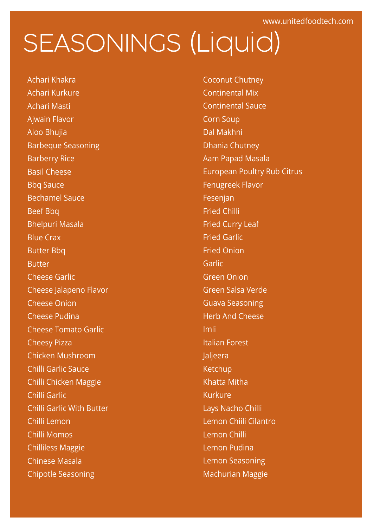## SEASONINGS (Liquid)

 Achari Khakra Achari Kurkure Achari Masti Ajwain Flavor Aloo Bhujia Barbeque Seasoning Barberry Rice Basil Cheese Bbq Sauce Bechamel Sauce Beef Bbq Bhelpuri Masala Blue Crax Butter Bbq Butter Cheese Garlic Cheese Jalapeno Flavor Cheese Onion Cheese Pudina Cheese Tomato Garlic Cheesy Pizza Chicken Mushroom Chilli Garlic Sauce Chilli Chicken Maggie Chilli Garlic Chilli Garlic With Butter Chilli Lemon Chilli Momos Chilliless Maggie Chinese Masala Chipotle Seasoning

 Coconut Chutney Continental Mix Continental Sauce Corn Soup Dal Makhni Dhania Chutney Aam Papad Masala European Poultry Rub Citrus Fenugreek Flavor Fesenjan Fried Chilli Fried Curry Leaf Fried Garlic Fried Onion Garlic Green Onion Green Salsa Verde Guava Seasoning Herb And Cheese Imli Italian Forest Jaljeera Ketchup Khatta Mitha Kurkure Lays Nacho Chilli Lemon Chiili Cilantro Lemon Chilli Lemon Pudina Lemon Seasoning Machurian Maggie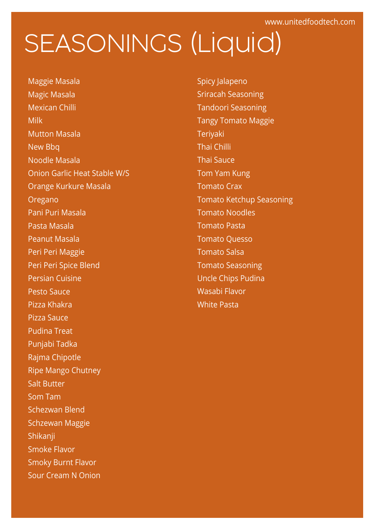## SEASONINGS (Liquid)

 Maggie Masala Magic Masala Mexican Chilli Milk Mutton Masala New Bbq Noodle Masala Onion Garlic Heat Stable W/S Orange Kurkure Masala Oregano Pani Puri Masala Pasta Masala Peanut Masala Peri Peri Maggie Peri Peri Spice Blend Persian Cuisine Pesto Sauce Pizza Khakra Pizza Sauce Pudina Treat Punjabi Tadka Rajma Chipotle Ripe Mango Chutney Salt Butter Som Tam Schezwan Blend Schzewan Maggie Shikanji Smoke Flavor Smoky Burnt Flavor Sour Cream N Onion

 Spicy Jalapeno Sriracah Seasoning Tandoori Seasoning Tangy Tomato Maggie Teriyaki Thai Chilli Thai Sauce Tom Yam Kung Tomato Crax Tomato Ketchup Seasoning Tomato Noodles Tomato Pasta Tomato Quesso Tomato Salsa Tomato Seasoning Uncle Chips Pudina Wasabi Flavor White Pasta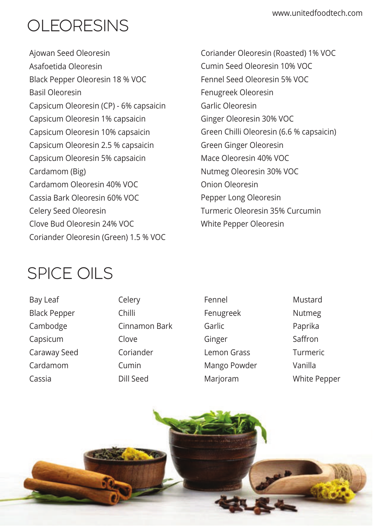### **OLEORESINS**

 Ajowan Seed Oleoresin Asafoetida Oleoresin Black Pepper Oleoresin 18 % VOC Basil Oleoresin Capsicum Oleoresin (CP) - 6% capsaicin Capsicum Oleoresin 1% capsaicin Capsicum Oleoresin 10% capsaicin Capsicum Oleoresin 2.5 % capsaicin Capsicum Oleoresin 5% capsaicin Cardamom (Big) Cardamom Oleoresin 40% VOC Cassia Bark Oleoresin 60% VOC Celery Seed Oleoresin Clove Bud Oleoresin 24% VOC Coriander Oleoresin (Green) 1.5 % VOC

 Coriander Oleoresin (Roasted) 1% VOC Cumin Seed Oleoresin 10% VOC Fennel Seed Oleoresin 5% VOC Fenugreek Oleoresin Garlic Oleoresin Ginger Oleoresin 30% VOC Green Chilli Oleoresin (6.6 % capsaicin) Green Ginger Oleoresin Mace Oleoresin 40% VOC Nutmeg Oleoresin 30% VOC Onion Oleoresin Pepper Long Oleoresin Turmeric Oleoresin 35% Curcumin White Pepper Oleoresin

### SPICE OILS

- Bay Leaf Black Pepper Cambodge Capsicum Caraway Seed Cardamom Cassia
- Celery Chilli Cinnamon Bark Clove Coriander Cumin Dill Seed
- Fennel Fenugreek Garlic Ginger Lemon Grass Mango Powder Marjoram
- Mustard Nutmeg Paprika Saffron Turmeric Vanilla White Pepper

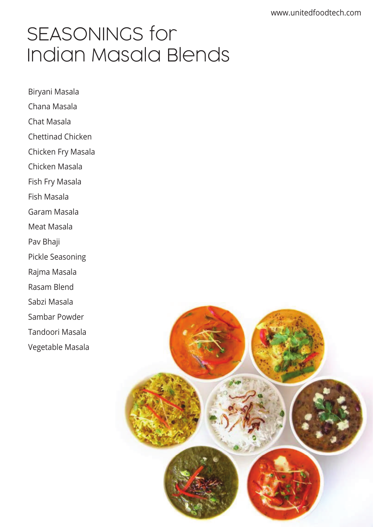### SEASONINGS for Indian Masala Blends

 Biryani Masala Chana Masala Chat Masala Chettinad Chicken Chicken Fry Masala Chicken Masala Fish Fry Masala Fish Masala Garam Masala Meat Masala Pav Bhaji Pickle Seasoning Rajma Masala Rasam Blend Sabzi Masala Sambar Powder Tandoori Masala Vegetable Masala

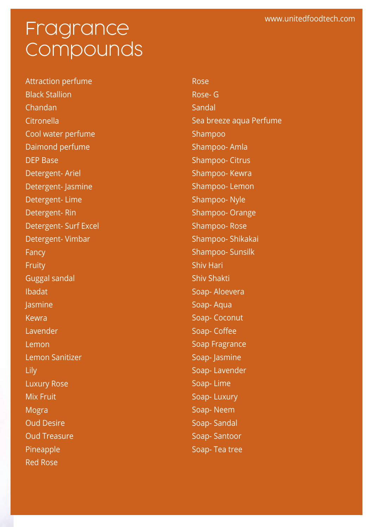### Fragrance Compounds

Attraction perfume Black Stallion Chandan **Citronella** Cool water perfume Daimond perfume DEP Base Detergent- Ariel Detergent- Jasmine Detergent- Lime Detergent- Rin Detergent- Surf Excel Detergent- Vimbar Fancy Fruity Guggal sandal Ibadat **Jasmine** Kewra Lavender Lemon Lemon Sanitizer Lily Luxury Rose Mix Fruit Mogra Oud Desire Oud Treasure Pineapple Red Rose

Rose Rose- G Sandal Sea breeze aqua Perfume Shampoo Shampoo- Amla Shampoo- Citrus Shampoo- Kewra Shampoo- Lemon Shampoo- Nyle Shampoo- Orange Shampoo- Rose Shampoo- Shikakai Shampoo- Sunsilk Shiv Hari Shiv Shakti Soap- Aloevera Soap- Aqua Soap- Coconut Soap- Coffee Soap Fragrance Soap- Jasmine Soap- Lavender Soap- Lime Soap- Luxury Soap- Neem Soap- Sandal Soap- Santoor Soap- Tea tree